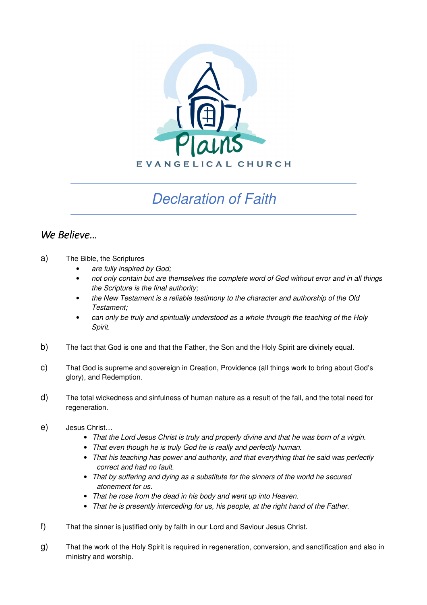

## Declaration of Faith

## *We Believe…*

- a) The Bible, the Scriptures
	- are fully inspired by God;
	- not only contain but are themselves the complete word of God without error and in all things the Scripture is the final authority;
	- the New Testament is a reliable testimony to the character and authorship of the Old Testament;
	- can only be truly and spiritually understood as a whole through the teaching of the Holy Spirit.
- b) The fact that God is one and that the Father, the Son and the Holy Spirit are divinely equal.
- c) That God is supreme and sovereign in Creation, Providence (all things work to bring about God's glory), and Redemption.
- d) The total wickedness and sinfulness of human nature as a result of the fall, and the total need for regeneration.
- e) Jesus Christ…
	- That the Lord Jesus Christ is truly and properly divine and that he was born of a virgin.
	- That even though he is truly God he is really and perfectly human.
	- That his teaching has power and authority, and that everything that he said was perfectly correct and had no fault.
	- That by suffering and dying as a substitute for the sinners of the world he secured atonement for us.
	- That he rose from the dead in his body and went up into Heaven.
	- That he is presently interceding for us, his people, at the right hand of the Father.
- f) That the sinner is justified only by faith in our Lord and Saviour Jesus Christ.
- g) That the work of the Holy Spirit is required in regeneration, conversion, and sanctification and also in ministry and worship.